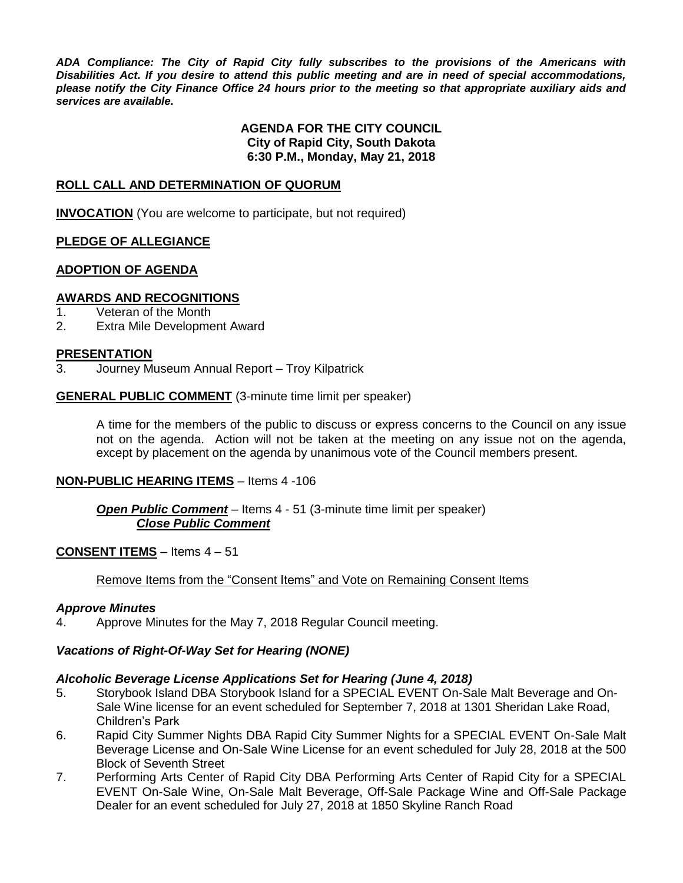*ADA Compliance: The City of Rapid City fully subscribes to the provisions of the Americans with Disabilities Act. If you desire to attend this public meeting and are in need of special accommodations, please notify the City Finance Office 24 hours prior to the meeting so that appropriate auxiliary aids and services are available.*

#### **AGENDA FOR THE CITY COUNCIL City of Rapid City, South Dakota 6:30 P.M., Monday, May 21, 2018**

#### **ROLL CALL AND DETERMINATION OF QUORUM**

**INVOCATION** (You are welcome to participate, but not required)

#### **PLEDGE OF ALLEGIANCE**

#### **ADOPTION OF AGENDA**

#### **AWARDS AND RECOGNITIONS**

- 1. Veteran of the Month
- 2. Extra Mile Development Award

#### **PRESENTATION**

3. Journey Museum Annual Report – Troy Kilpatrick

#### **GENERAL PUBLIC COMMENT** (3-minute time limit per speaker)

A time for the members of the public to discuss or express concerns to the Council on any issue not on the agenda. Action will not be taken at the meeting on any issue not on the agenda, except by placement on the agenda by unanimous vote of the Council members present.

#### **NON-PUBLIC HEARING ITEMS** – Items 4 -106

#### *Open Public Comment* – Items 4 - 51 (3-minute time limit per speaker) *Close Public Comment*

#### **CONSENT ITEMS** – Items 4 – 51

#### Remove Items from the "Consent Items" and Vote on Remaining Consent Items

#### *Approve Minutes*

4. Approve Minutes for the May 7, 2018 Regular Council meeting.

#### *Vacations of Right-Of-Way Set for Hearing (NONE)*

#### *Alcoholic Beverage License Applications Set for Hearing (June 4, 2018)*

- 5. Storybook Island DBA Storybook Island for a SPECIAL EVENT On-Sale Malt Beverage and On-Sale Wine license for an event scheduled for September 7, 2018 at 1301 Sheridan Lake Road, Children's Park
- 6. Rapid City Summer Nights DBA Rapid City Summer Nights for a SPECIAL EVENT On-Sale Malt Beverage License and On-Sale Wine License for an event scheduled for July 28, 2018 at the 500 Block of Seventh Street
- 7. Performing Arts Center of Rapid City DBA Performing Arts Center of Rapid City for a SPECIAL EVENT On-Sale Wine, On-Sale Malt Beverage, Off-Sale Package Wine and Off-Sale Package Dealer for an event scheduled for July 27, 2018 at 1850 Skyline Ranch Road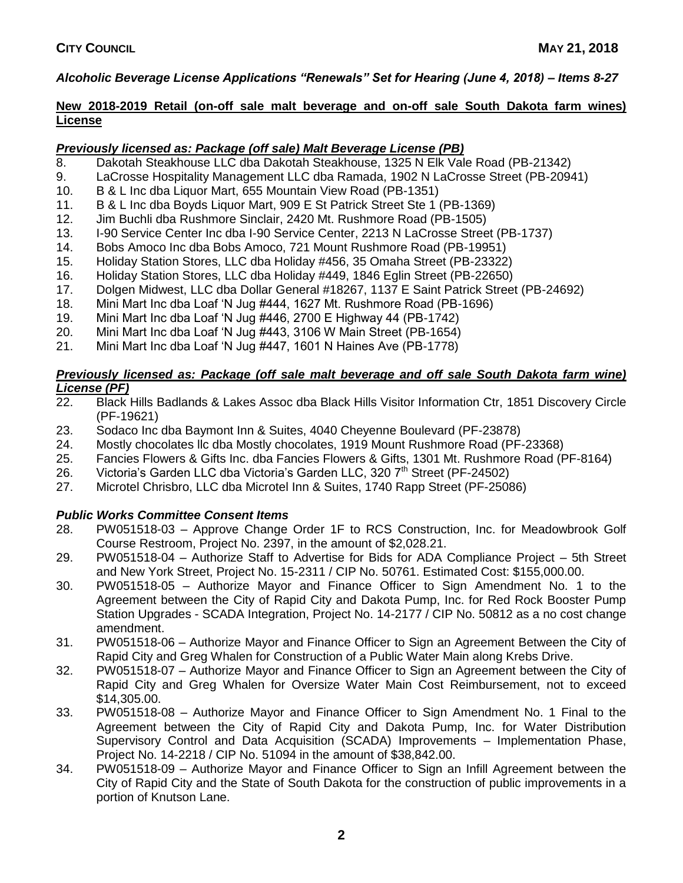## *Alcoholic Beverage License Applications "Renewals" Set for Hearing (June 4, 2018) – Items 8-27*

#### **New 2018-2019 Retail (on-off sale malt beverage and on-off sale South Dakota farm wines) License**

#### *Previously licensed as: Package (off sale) Malt Beverage License (PB)*

- 8. Dakotah Steakhouse LLC dba Dakotah Steakhouse, 1325 N Elk Vale Road (PB-21342)
- 9. LaCrosse Hospitality Management LLC dba Ramada, 1902 N LaCrosse Street (PB-20941)
- 10. B & L Inc dba Liquor Mart, 655 Mountain View Road (PB-1351)
- 11. B & L Inc dba Boyds Liquor Mart, 909 E St Patrick Street Ste 1 (PB-1369)
- 12. Jim Buchli dba Rushmore Sinclair, 2420 Mt. Rushmore Road (PB-1505)
- 13. I-90 Service Center Inc dba I-90 Service Center, 2213 N LaCrosse Street (PB-1737)
- 14. Bobs Amoco Inc dba Bobs Amoco, 721 Mount Rushmore Road (PB-19951)
- 15. Holiday Station Stores, LLC dba Holiday #456, 35 Omaha Street (PB-23322)
- 16. Holiday Station Stores, LLC dba Holiday #449, 1846 Eglin Street (PB-22650)
- 17. Dolgen Midwest, LLC dba Dollar General #18267, 1137 E Saint Patrick Street (PB-24692)
- 18. Mini Mart Inc dba Loaf 'N Jug #444, 1627 Mt. Rushmore Road (PB-1696)
- 19. Mini Mart Inc dba Loaf 'N Jug #446, 2700 E Highway 44 (PB-1742)
- 20. Mini Mart Inc dba Loaf 'N Jug #443, 3106 W Main Street (PB-1654)
- 21. Mini Mart Inc dba Loaf 'N Jug #447, 1601 N Haines Ave (PB-1778)

# *Previously licensed as: Package (off sale malt beverage and off sale South Dakota farm wine) License (PF)*

- 22. Black Hills Badlands & Lakes Assoc dba Black Hills Visitor Information Ctr, 1851 Discovery Circle (PF-19621)
- 23. Sodaco Inc dba Baymont Inn & Suites, 4040 Cheyenne Boulevard (PF-23878)
- 24. Mostly chocolates llc dba Mostly chocolates, 1919 Mount Rushmore Road (PF-23368)
- 25. Fancies Flowers & Gifts Inc. dba Fancies Flowers & Gifts, 1301 Mt. Rushmore Road (PF-8164)
- 26. Victoria's Garden LLC dba Victoria's Garden LLC, 320  $7<sup>th</sup>$  Street (PF-24502)
- 27. Microtel Chrisbro, LLC dba Microtel Inn & Suites, 1740 Rapp Street (PF-25086)

## *Public Works Committee Consent Items*

- 28. PW051518-03 Approve Change Order 1F to RCS Construction, Inc. for Meadowbrook Golf Course Restroom, Project No. 2397, in the amount of \$2,028.21.
- 29. PW051518-04 Authorize Staff to Advertise for Bids for ADA Compliance Project 5th Street and New York Street, Project No. 15-2311 / CIP No. 50761. Estimated Cost: \$155,000.00.
- 30. PW051518-05 Authorize Mayor and Finance Officer to Sign Amendment No. 1 to the Agreement between the City of Rapid City and Dakota Pump, Inc. for Red Rock Booster Pump Station Upgrades - SCADA Integration, Project No. 14-2177 / CIP No. 50812 as a no cost change amendment.
- 31. PW051518-06 Authorize Mayor and Finance Officer to Sign an Agreement Between the City of Rapid City and Greg Whalen for Construction of a Public Water Main along Krebs Drive.
- 32. PW051518-07 Authorize Mayor and Finance Officer to Sign an Agreement between the City of Rapid City and Greg Whalen for Oversize Water Main Cost Reimbursement, not to exceed \$14,305.00.
- 33. PW051518-08 Authorize Mayor and Finance Officer to Sign Amendment No. 1 Final to the Agreement between the City of Rapid City and Dakota Pump, Inc. for Water Distribution Supervisory Control and Data Acquisition (SCADA) Improvements – Implementation Phase, Project No. 14-2218 / CIP No. 51094 in the amount of \$38,842.00.
- 34. PW051518-09 Authorize Mayor and Finance Officer to Sign an Infill Agreement between the City of Rapid City and the State of South Dakota for the construction of public improvements in a portion of Knutson Lane.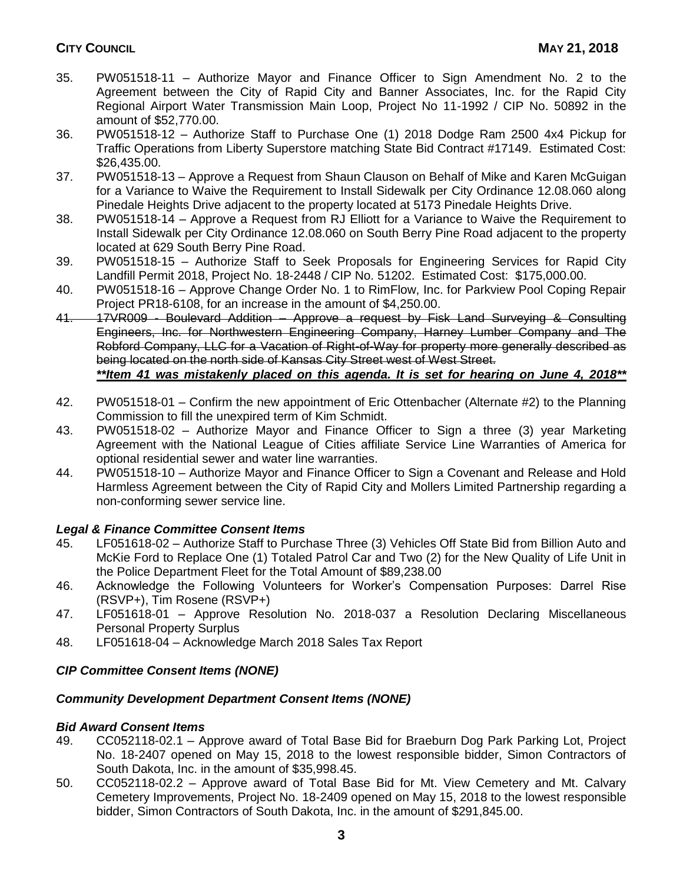- 35. PW051518-11 Authorize Mayor and Finance Officer to Sign Amendment No. 2 to the Agreement between the City of Rapid City and Banner Associates, Inc. for the Rapid City Regional Airport Water Transmission Main Loop, Project No 11-1992 / CIP No. 50892 in the amount of \$52,770.00.
- 36. PW051518-12 Authorize Staff to Purchase One (1) 2018 Dodge Ram 2500 4x4 Pickup for Traffic Operations from Liberty Superstore matching State Bid Contract #17149. Estimated Cost: \$26,435.00.
- 37. PW051518-13 Approve a Request from Shaun Clauson on Behalf of Mike and Karen McGuigan for a Variance to Waive the Requirement to Install Sidewalk per City Ordinance 12.08.060 along Pinedale Heights Drive adjacent to the property located at 5173 Pinedale Heights Drive.
- 38. PW051518-14 Approve a Request from RJ Elliott for a Variance to Waive the Requirement to Install Sidewalk per City Ordinance 12.08.060 on South Berry Pine Road adjacent to the property located at 629 South Berry Pine Road.
- 39. PW051518-15 Authorize Staff to Seek Proposals for Engineering Services for Rapid City Landfill Permit 2018, Project No. 18-2448 / CIP No. 51202. Estimated Cost: \$175,000.00.
- 40. PW051518-16 Approve Change Order No. 1 to RimFlow, Inc. for Parkview Pool Coping Repair Project PR18-6108, for an increase in the amount of \$4,250.00.

41. 17VR009 - Boulevard Addition – Approve a request by Fisk Land Surveying & Consulting Engineers, Inc. for Northwestern Engineering Company, Harney Lumber Company and The Robford Company, LLC for a Vacation of Right-of-Way for property more generally described as being located on the north side of Kansas City Street west of West Street.

## *\*\*Item 41 was mistakenly placed on this agenda. It is set for hearing on June 4, 2018\*\**

- 42. PW051518-01 Confirm the new appointment of Eric Ottenbacher (Alternate #2) to the Planning Commission to fill the unexpired term of Kim Schmidt.
- 43. PW051518-02 Authorize Mayor and Finance Officer to Sign a three (3) year Marketing Agreement with the National League of Cities affiliate Service Line Warranties of America for optional residential sewer and water line warranties.
- 44. PW051518-10 Authorize Mayor and Finance Officer to Sign a Covenant and Release and Hold Harmless Agreement between the City of Rapid City and Mollers Limited Partnership regarding a non-conforming sewer service line.

## *Legal & Finance Committee Consent Items*

- 45. LF051618-02 Authorize Staff to Purchase Three (3) Vehicles Off State Bid from Billion Auto and McKie Ford to Replace One (1) Totaled Patrol Car and Two (2) for the New Quality of Life Unit in the Police Department Fleet for the Total Amount of \$89,238.00
- 46. Acknowledge the Following Volunteers for Worker's Compensation Purposes: Darrel Rise (RSVP+), Tim Rosene (RSVP+)
- 47. LF051618-01 Approve Resolution No. 2018-037 a Resolution Declaring Miscellaneous Personal Property Surplus
- 48. LF051618-04 Acknowledge March 2018 Sales Tax Report

## *CIP Committee Consent Items (NONE)*

#### *Community Development Department Consent Items (NONE)*

#### *Bid Award Consent Items*

- 49. CC052118-02.1 Approve award of Total Base Bid for Braeburn Dog Park Parking Lot, Project No. 18-2407 opened on May 15, 2018 to the lowest responsible bidder, Simon Contractors of South Dakota, Inc. in the amount of \$35,998.45.
- 50. CC052118-02.2 Approve award of Total Base Bid for Mt. View Cemetery and Mt. Calvary Cemetery Improvements, Project No. 18-2409 opened on May 15, 2018 to the lowest responsible bidder, Simon Contractors of South Dakota, Inc. in the amount of \$291,845.00.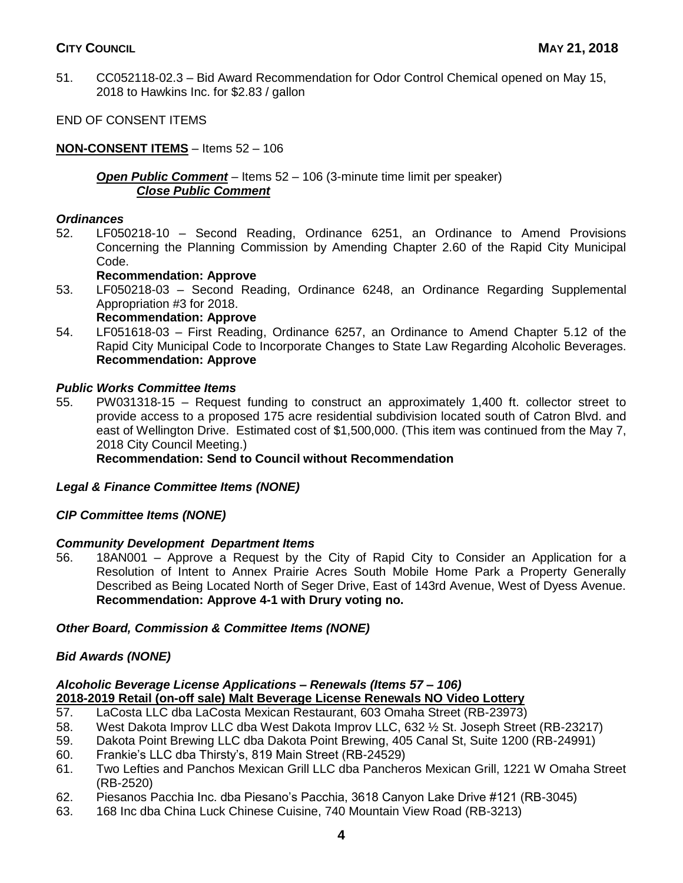## **CITY COUNCIL MAY 21, 2018**

51. CC052118-02.3 – Bid Award Recommendation for Odor Control Chemical opened on May 15, 2018 to Hawkins Inc. for \$2.83 / gallon

END OF CONSENT ITEMS

### **NON-CONSENT ITEMS** – Items 52 – 106

#### *Open Public Comment* – Items 52 – 106 (3-minute time limit per speaker) *Close Public Comment*

#### *Ordinances*

52. LF050218-10 – Second Reading, Ordinance 6251, an Ordinance to Amend Provisions Concerning the Planning Commission by Amending Chapter 2.60 of the Rapid City Municipal Code.

#### **Recommendation: Approve**

53. LF050218-03 – Second Reading, Ordinance 6248, an Ordinance Regarding Supplemental Appropriation #3 for 2018.

#### **Recommendation: Approve**

54. LF051618-03 – First Reading, Ordinance 6257, an Ordinance to Amend Chapter 5.12 of the Rapid City Municipal Code to Incorporate Changes to State Law Regarding Alcoholic Beverages. **Recommendation: Approve**

#### *Public Works Committee Items*

55. PW031318-15 – Request funding to construct an approximately 1,400 ft. collector street to provide access to a proposed 175 acre residential subdivision located south of Catron Blvd. and east of Wellington Drive. Estimated cost of \$1,500,000. (This item was continued from the May 7, 2018 City Council Meeting.)

#### **Recommendation: Send to Council without Recommendation**

#### *Legal & Finance Committee Items (NONE)*

#### *CIP Committee Items (NONE)*

#### *Community Development Department Items*

56. 18AN001 – Approve a Request by the City of Rapid City to Consider an Application for a Resolution of Intent to Annex Prairie Acres South Mobile Home Park a Property Generally Described as Being Located North of Seger Drive, East of 143rd Avenue, West of Dyess Avenue. **Recommendation: Approve 4-1 with Drury voting no.** 

#### *Other Board, Commission & Committee Items (NONE)*

#### *Bid Awards (NONE)*

# *Alcoholic Beverage License Applications – Renewals (Items 57 – 106)* **2018-2019 Retail (on-off sale) Malt Beverage License Renewals NO Video Lottery**

- 57. LaCosta LLC dba LaCosta Mexican Restaurant, 603 Omaha Street (RB-23973)
- 58. West Dakota Improv LLC dba West Dakota Improv LLC, 632 ½ St. Joseph Street (RB-23217)
- 59. Dakota Point Brewing LLC dba Dakota Point Brewing, 405 Canal St, Suite 1200 (RB-24991)
- 60. Frankie's LLC dba Thirsty's, 819 Main Street (RB-24529)
- 61. Two Lefties and Panchos Mexican Grill LLC dba Pancheros Mexican Grill, 1221 W Omaha Street (RB-2520)
- 62. Piesanos Pacchia Inc. dba Piesano's Pacchia, 3618 Canyon Lake Drive #121 (RB-3045)
- 63. 168 Inc dba China Luck Chinese Cuisine, 740 Mountain View Road (RB-3213)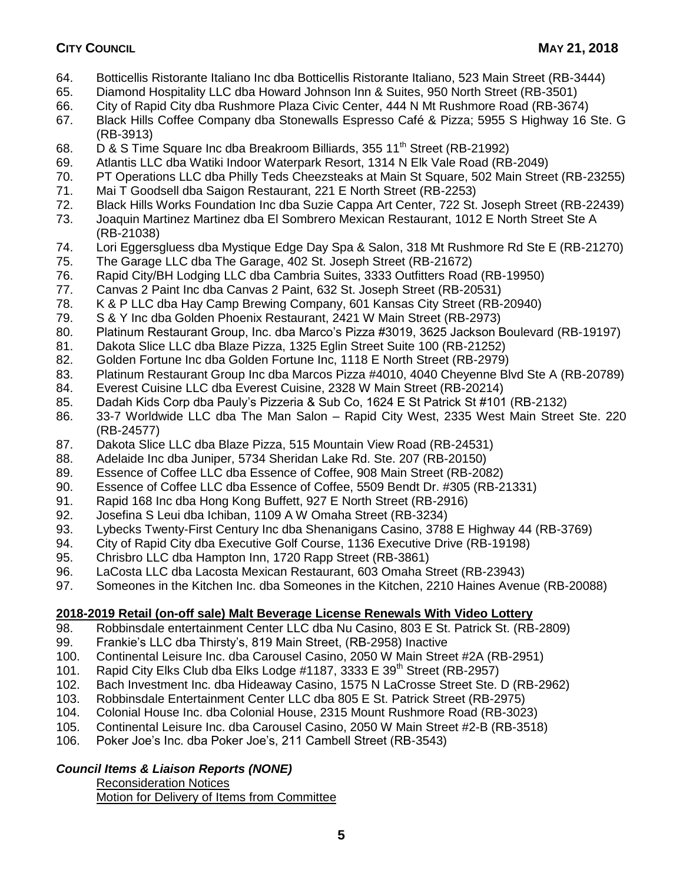- 64. Botticellis Ristorante Italiano Inc dba Botticellis Ristorante Italiano, 523 Main Street (RB-3444)
- 65. Diamond Hospitality LLC dba Howard Johnson Inn & Suites, 950 North Street (RB-3501)
- 66. City of Rapid City dba Rushmore Plaza Civic Center, 444 N Mt Rushmore Road (RB-3674)
- 67. Black Hills Coffee Company dba Stonewalls Espresso Café & Pizza; 5955 S Highway 16 Ste. G (RB-3913)
- 68. D & S Time Square Inc dba Breakroom Billiards, 355 11<sup>th</sup> Street (RB-21992)
- 69. Atlantis LLC dba Watiki Indoor Waterpark Resort, 1314 N Elk Vale Road (RB-2049)
- 70. PT Operations LLC dba Philly Teds Cheezsteaks at Main St Square, 502 Main Street (RB-23255)
- 71. Mai T Goodsell dba Saigon Restaurant, 221 E North Street (RB-2253)
- 72. Black Hills Works Foundation Inc dba Suzie Cappa Art Center, 722 St. Joseph Street (RB-22439)
- 73. Joaquin Martinez Martinez dba El Sombrero Mexican Restaurant, 1012 E North Street Ste A (RB-21038)
- 74. Lori Eggersgluess dba Mystique Edge Day Spa & Salon, 318 Mt Rushmore Rd Ste E (RB-21270)
- 75. The Garage LLC dba The Garage, 402 St. Joseph Street (RB-21672)
- 76. Rapid City/BH Lodging LLC dba Cambria Suites, 3333 Outfitters Road (RB-19950)
- 77. Canvas 2 Paint Inc dba Canvas 2 Paint, 632 St. Joseph Street (RB-20531)
- 78. K & P LLC dba Hay Camp Brewing Company, 601 Kansas City Street (RB-20940)
- 79. S & Y Inc dba Golden Phoenix Restaurant, 2421 W Main Street (RB-2973)
- 80. Platinum Restaurant Group, Inc. dba Marco's Pizza #3019, 3625 Jackson Boulevard (RB-19197)
- 81. Dakota Slice LLC dba Blaze Pizza, 1325 Eglin Street Suite 100 (RB-21252)
- 82. Golden Fortune Inc dba Golden Fortune Inc, 1118 E North Street (RB-2979)
- 83. Platinum Restaurant Group Inc dba Marcos Pizza #4010, 4040 Cheyenne Blvd Ste A (RB-20789)
- 84. Everest Cuisine LLC dba Everest Cuisine, 2328 W Main Street (RB-20214)
- 85. Dadah Kids Corp dba Pauly's Pizzeria & Sub Co, 1624 E St Patrick St #101 (RB-2132)
- 86. 33-7 Worldwide LLC dba The Man Salon Rapid City West, 2335 West Main Street Ste. 220 (RB-24577)
- 87. Dakota Slice LLC dba Blaze Pizza, 515 Mountain View Road (RB-24531)
- 88. Adelaide Inc dba Juniper, 5734 Sheridan Lake Rd. Ste. 207 (RB-20150)
- 89. Essence of Coffee LLC dba Essence of Coffee, 908 Main Street (RB-2082)
- 90. Essence of Coffee LLC dba Essence of Coffee, 5509 Bendt Dr. #305 (RB-21331)
- 91. Rapid 168 Inc dba Hong Kong Buffett, 927 E North Street (RB-2916)
- 92. Josefina S Leui dba Ichiban, 1109 A W Omaha Street (RB-3234)
- 93. Lybecks Twenty-First Century Inc dba Shenanigans Casino, 3788 E Highway 44 (RB-3769)
- 94. City of Rapid City dba Executive Golf Course, 1136 Executive Drive (RB-19198)
- 95. Chrisbro LLC dba Hampton Inn, 1720 Rapp Street (RB-3861)
- 96. LaCosta LLC dba Lacosta Mexican Restaurant, 603 Omaha Street (RB-23943)
- 97. Someones in the Kitchen Inc. dba Someones in the Kitchen, 2210 Haines Avenue (RB-20088)

## **2018-2019 Retail (on-off sale) Malt Beverage License Renewals With Video Lottery**

- 98. Robbinsdale entertainment Center LLC dba Nu Casino, 803 E St. Patrick St. (RB-2809)
- 99. Frankie's LLC dba Thirsty's, 819 Main Street, (RB-2958) Inactive
- 100. Continental Leisure Inc. dba Carousel Casino, 2050 W Main Street #2A (RB-2951)
- 101. Rapid City Elks Club dba Elks Lodge #1187, 3333 E 39<sup>th</sup> Street (RB-2957)
- 102. Bach Investment Inc. dba Hideaway Casino, 1575 N LaCrosse Street Ste. D (RB-2962)
- 103. Robbinsdale Entertainment Center LLC dba 805 E St. Patrick Street (RB-2975)
- 104. Colonial House Inc. dba Colonial House, 2315 Mount Rushmore Road (RB-3023)
- 105. Continental Leisure Inc. dba Carousel Casino, 2050 W Main Street #2-B (RB-3518)
- 106. Poker Joe's Inc. dba Poker Joe's, 211 Cambell Street (RB-3543)

## *Council Items & Liaison Reports (NONE)*

Reconsideration Notices Motion for Delivery of Items from Committee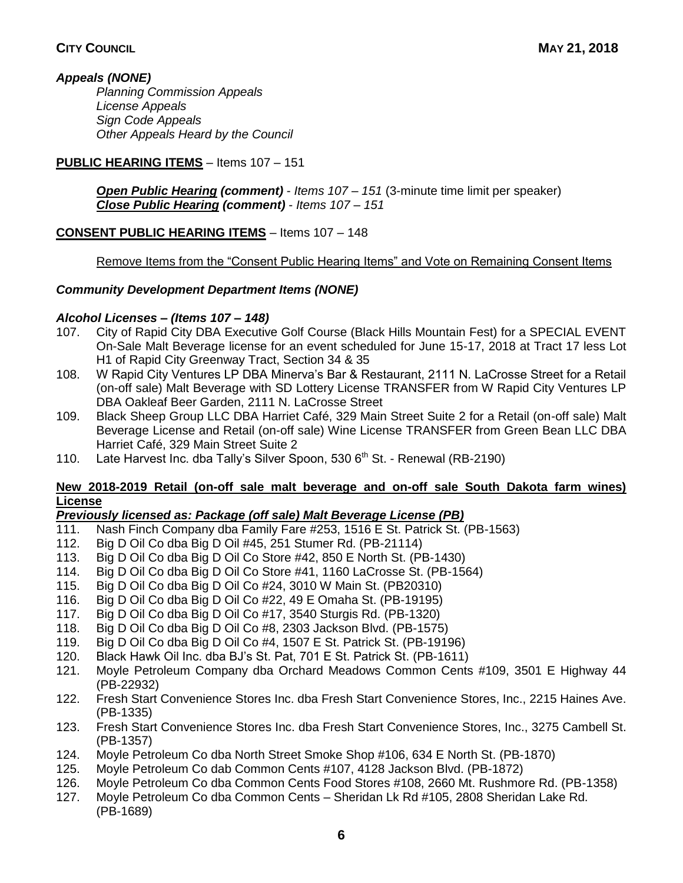## *Appeals (NONE)*

*Planning Commission Appeals License Appeals Sign Code Appeals Other Appeals Heard by the Council*

## **PUBLIC HEARING ITEMS** – Items 107 – 151

*Open Public Hearing (comment)* - *Items 107 – 151* (3-minute time limit per speaker) *Close Public Hearing (comment)* - *Items 107 – 151*

## **CONSENT PUBLIC HEARING ITEMS** – Items 107 – 148

Remove Items from the "Consent Public Hearing Items" and Vote on Remaining Consent Items

## *Community Development Department Items (NONE)*

## *Alcohol Licenses – (Items 107 – 148)*

- 107. City of Rapid City DBA Executive Golf Course (Black Hills Mountain Fest) for a SPECIAL EVENT On-Sale Malt Beverage license for an event scheduled for June 15-17, 2018 at Tract 17 less Lot H1 of Rapid City Greenway Tract, Section 34 & 35
- 108. W Rapid City Ventures LP DBA Minerva's Bar & Restaurant, 2111 N. LaCrosse Street for a Retail (on-off sale) Malt Beverage with SD Lottery License TRANSFER from W Rapid City Ventures LP DBA Oakleaf Beer Garden, 2111 N. LaCrosse Street
- 109. Black Sheep Group LLC DBA Harriet Café, 329 Main Street Suite 2 for a Retail (on-off sale) Malt Beverage License and Retail (on-off sale) Wine License TRANSFER from Green Bean LLC DBA Harriet Café, 329 Main Street Suite 2
- 110. Late Harvest Inc. dba Tally's Silver Spoon, 530  $6<sup>th</sup>$  St. Renewal (RB-2190)

### **New 2018-2019 Retail (on-off sale malt beverage and on-off sale South Dakota farm wines) License**

## *Previously licensed as: Package (off sale) Malt Beverage License (PB)*

- 111. Nash Finch Company dba Family Fare #253, 1516 E St. Patrick St. (PB-1563)
- 112. Big D Oil Co dba Big D Oil #45, 251 Stumer Rd. (PB-21114)
- 113. Big D Oil Co dba Big D Oil Co Store #42, 850 E North St. (PB-1430)
- 114. Big D Oil Co dba Big D Oil Co Store #41, 1160 LaCrosse St. (PB-1564)
- 115. Big D Oil Co dba Big D Oil Co #24, 3010 W Main St. (PB20310)
- 116. Big D Oil Co dba Big D Oil Co #22, 49 E Omaha St. (PB-19195)
- 117. Big D Oil Co dba Big D Oil Co #17, 3540 Sturgis Rd. (PB-1320)
- 118. Big D Oil Co dba Big D Oil Co #8, 2303 Jackson Blvd. (PB-1575)
- 119. Big D Oil Co dba Big D Oil Co #4, 1507 E St. Patrick St. (PB-19196)
- 120. Black Hawk Oil Inc. dba BJ's St. Pat, 701 E St. Patrick St. (PB-1611)
- 121. Moyle Petroleum Company dba Orchard Meadows Common Cents #109, 3501 E Highway 44 (PB-22932)
- 122. Fresh Start Convenience Stores Inc. dba Fresh Start Convenience Stores, Inc., 2215 Haines Ave. (PB-1335)
- 123. Fresh Start Convenience Stores Inc. dba Fresh Start Convenience Stores, Inc., 3275 Cambell St. (PB-1357)
- 124. Moyle Petroleum Co dba North Street Smoke Shop #106, 634 E North St. (PB-1870)
- 125. Moyle Petroleum Co dab Common Cents #107, 4128 Jackson Blvd. (PB-1872)
- 126. Moyle Petroleum Co dba Common Cents Food Stores #108, 2660 Mt. Rushmore Rd. (PB-1358)
- 127. Moyle Petroleum Co dba Common Cents Sheridan Lk Rd #105, 2808 Sheridan Lake Rd. (PB-1689)